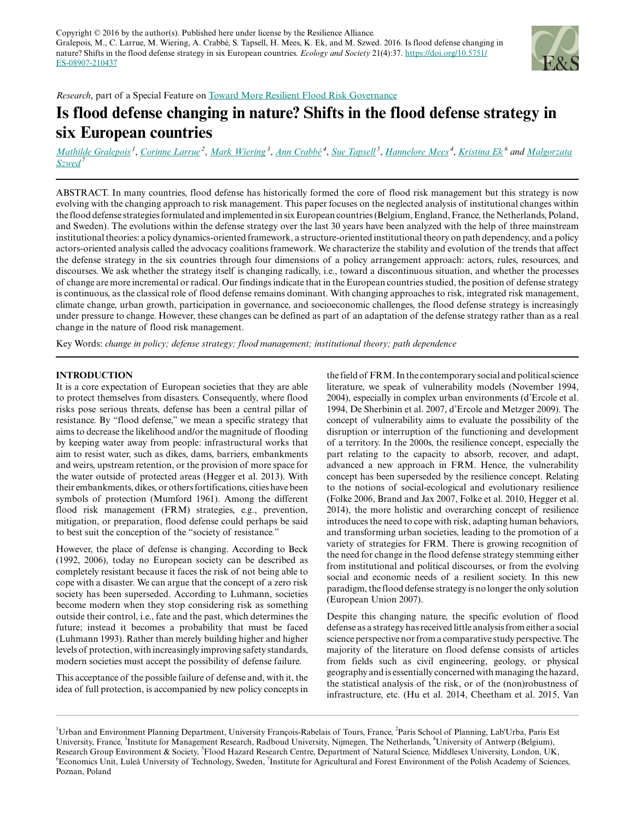

*Research*, part of a Special Feature on [Toward More Resilient Flood Risk Governance](http://www.ecologyandsociety.org/viewissue.php?sf=115)

# **Is flood defense changing in nature? Shifts in the flood defense strategy in six European countries**

<u>[Mathilde Gralepois](mailto:mathilde.gralepois@univ-tours.fr)<sup>1</sup>, [Corinne Larrue](mailto:corinne.larrue@u-pec.fr)<sup>2</sup>, [Mark Wiering](mailto:m.wiering@fm.ru.nl)<sup>3</sup>, [Ann Crabbé](mailto:ann.crabbe@uantwerpen.be)<sup>4</sup>, [Sue Tapsell](mailto:s.tapsell@mdx.ac.uk)<sup>5</sup>, [Hannelore Mees](mailto:hannelore.mees@uantwerpen.be)<sup>4</sup>, [Kristina Ek](mailto:kristina.ek@ltu.se)<sup>6</sup> and [Malgorzata](mailto:mszwed@man.poznan.pl)</u> *[Szwed](mailto:mszwed@man.poznan.pl)<sup>7</sup>*

ABSTRACT. In many countries, flood defense has historically formed the core of flood risk management but this strategy is now evolving with the changing approach to risk management. This paper focuses on the neglected analysis of institutional changes within the flood defense strategies formulated and implemented in six European countries (Belgium, England, France, the Netherlands, Poland, and Sweden). The evolutions within the defense strategy over the last 30 years have been analyzed with the help of three mainstream institutional theories: a policy dynamics-oriented framework, a structure-oriented institutional theory on path dependency, and a policy actors-oriented analysis called the advocacy coalitions framework. We characterize the stability and evolution of the trends that affect the defense strategy in the six countries through four dimensions of a policy arrangement approach: actors, rules, resources, and discourses. We ask whether the strategy itself is changing radically, i.e., toward a discontinuous situation, and whether the processes of change are more incremental or radical. Our findings indicate that in the European countries studied, the position of defense strategy is continuous, as the classical role of flood defense remains dominant. With changing approaches to risk, integrated risk management, climate change, urban growth, participation in governance, and socioeconomic challenges, the flood defense strategy is increasingly under pressure to change. However, these changes can be defined as part of an adaptation of the defense strategy rather than as a real change in the nature of flood risk management.

Key Words: *change in policy; defense strategy; flood management; institutional theory; path dependence*

# **INTRODUCTION**

It is a core expectation of European societies that they are able to protect themselves from disasters. Consequently, where flood risks pose serious threats, defense has been a central pillar of resistance. By "flood defense," we mean a specific strategy that aims to decrease the likelihood and/or the magnitude of flooding by keeping water away from people: infrastructural works that aim to resist water, such as dikes, dams, barriers, embankments and weirs, upstream retention, or the provision of more space for the water outside of protected areas (Hegger et al. 2013). With their embankments, dikes, or others fortifications, cities have been symbols of protection (Mumford 1961). Among the different flood risk management (FRM) strategies, e.g., prevention, mitigation, or preparation, flood defense could perhaps be said to best suit the conception of the "society of resistance."

However, the place of defense is changing. According to Beck (1992, 2006), today no European society can be described as completely resistant because it faces the risk of not being able to cope with a disaster. We can argue that the concept of a zero risk society has been superseded. According to Luhmann, societies become modern when they stop considering risk as something outside their control, i.e., fate and the past, which determines the future; instead it becomes a probability that must be faced (Luhmann 1993). Rather than merely building higher and higher levels of protection, with increasingly improving safety standards, modern societies must accept the possibility of defense failure.

This acceptance of the possible failure of defense and, with it, the idea of full protection, is accompanied by new policy concepts in the field of FRM. In the contemporary social and political science literature, we speak of vulnerability models (November 1994, 2004), especially in complex urban environments (d'Ercole et al. 1994, De Sherbinin et al. 2007, d'Ercole and Metzger 2009). The concept of vulnerability aims to evaluate the possibility of the disruption or interruption of the functioning and development of a territory. In the 2000s, the resilience concept, especially the part relating to the capacity to absorb, recover, and adapt, advanced a new approach in FRM. Hence, the vulnerability concept has been superseded by the resilience concept. Relating to the notions of social-ecological and evolutionary resilience (Folke 2006, Brand and Jax 2007, Folke et al. 2010, Hegger et al. 2014), the more holistic and overarching concept of resilience introduces the need to cope with risk, adapting human behaviors, and transforming urban societies, leading to the promotion of a variety of strategies for FRM. There is growing recognition of the need for change in the flood defense strategy stemming either from institutional and political discourses, or from the evolving social and economic needs of a resilient society. In this new paradigm, the flood defense strategy is no longer the only solution (European Union 2007).

Despite this changing nature, the specific evolution of flood defense as a strategy has received little analysis from either a social science perspective nor from a comparative study perspective. The majority of the literature on flood defense consists of articles from fields such as civil engineering, geology, or physical geography and is essentially concerned with managing the hazard, the statistical analysis of the risk, or of the (non)robustness of infrastructure, etc. (Hu et al. 2014, Cheetham et al. 2015, Van

<sup>&</sup>lt;sup>1</sup>Urban and Environment Planning Department, University François-Rabelais of Tours, France, <sup>2</sup>Paris School of Planning, Lab'Urba, Paris Est University, France, <sup>3</sup>Institute for Management Research, Radboud University, Nijmegen, The Netherlands, <sup>4</sup>University of Antwerp (Belgium), Research Group Environment & Society, <sup>5</sup>Flood Hazard Research Centre, Department of Natural Science, Middlesex University, London, UK, <sup>6</sup>Economics Unit, Luleå University of Technology, Sweden, <sup>7</sup>Institute for Agricultural and Forest Environment of the Polish Academy of Sciences, Poznan, Poland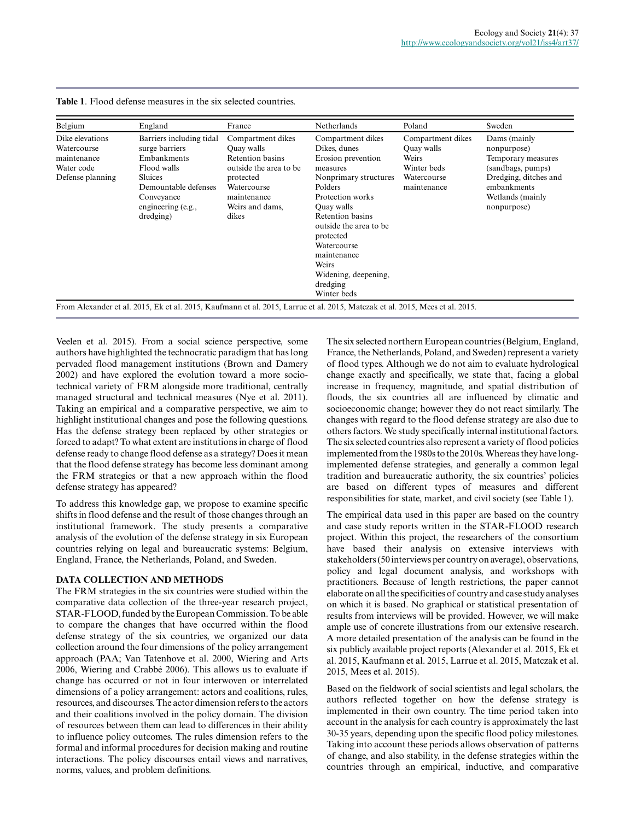| Belgium                                                                         | England                                                                                                                                                             | France                                                                                                                                                      | Netherlands                                                                                                                                                                                                                                                                                    | Poland                                                                                       | Sweden                                                                                                                                            |
|---------------------------------------------------------------------------------|---------------------------------------------------------------------------------------------------------------------------------------------------------------------|-------------------------------------------------------------------------------------------------------------------------------------------------------------|------------------------------------------------------------------------------------------------------------------------------------------------------------------------------------------------------------------------------------------------------------------------------------------------|----------------------------------------------------------------------------------------------|---------------------------------------------------------------------------------------------------------------------------------------------------|
| Dike elevations<br>Watercourse<br>maintenance<br>Water code<br>Defense planning | Barriers including tidal<br>surge barriers<br>Embankments<br>Flood walls<br><b>Sluices</b><br>Demountable defenses<br>Conveyance<br>engineering (e.g.,<br>dredging) | Compartment dikes<br><b>Ouay</b> walls<br>Retention basins<br>outside the area to be<br>protected<br>Watercourse<br>maintenance<br>Weirs and dams,<br>dikes | Compartment dikes<br>Dikes, dunes<br>Erosion prevention<br>measures<br>Nonprimary structures<br>Polders<br>Protection works<br>Ouay walls<br>Retention basins<br>outside the area to be<br>protected<br>Watercourse<br>maintenance<br>Weirs<br>Widening, deepening,<br>dredging<br>Winter beds | Compartment dikes<br><b>Ouay</b> walls<br>Weirs<br>Winter beds<br>Watercourse<br>maintenance | Dams (mainly<br>nonpurpose)<br>Temporary measures<br>(sandbags, pumps)<br>Dredging, ditches and<br>embankments<br>Wetlands (mainly<br>nonpurpose) |

**Table 1**. Flood defense measures in the six selected countries.

Veelen et al. 2015). From a social science perspective, some authors have highlighted the technocratic paradigm that has long pervaded flood management institutions (Brown and Damery 2002) and have explored the evolution toward a more sociotechnical variety of FRM alongside more traditional, centrally managed structural and technical measures (Nye et al. 2011). Taking an empirical and a comparative perspective, we aim to highlight institutional changes and pose the following questions. Has the defense strategy been replaced by other strategies or forced to adapt? To what extent are institutions in charge of flood defense ready to change flood defense as a strategy? Does it mean that the flood defense strategy has become less dominant among the FRM strategies or that a new approach within the flood defense strategy has appeared?

To address this knowledge gap, we propose to examine specific shifts in flood defense and the result of those changes through an institutional framework. The study presents a comparative analysis of the evolution of the defense strategy in six European countries relying on legal and bureaucratic systems: Belgium, England, France, the Netherlands, Poland, and Sweden.

# **DATA COLLECTION AND METHODS**

The FRM strategies in the six countries were studied within the comparative data collection of the three-year research project, STAR-FLOOD, funded by the European Commission. To be able to compare the changes that have occurred within the flood defense strategy of the six countries, we organized our data collection around the four dimensions of the policy arrangement approach (PAA; Van Tatenhove et al. 2000, Wiering and Arts 2006, Wiering and Crabbé 2006). This allows us to evaluate if change has occurred or not in four interwoven or interrelated dimensions of a policy arrangement: actors and coalitions, rules, resources, and discourses. The actor dimension refers to the actors and their coalitions involved in the policy domain. The division of resources between them can lead to differences in their ability to influence policy outcomes. The rules dimension refers to the formal and informal procedures for decision making and routine interactions. The policy discourses entail views and narratives, norms, values, and problem definitions.

The six selected northern European countries (Belgium, England, France, the Netherlands, Poland, and Sweden) represent a variety of flood types. Although we do not aim to evaluate hydrological change exactly and specifically, we state that, facing a global increase in frequency, magnitude, and spatial distribution of floods, the six countries all are influenced by climatic and socioeconomic change; however they do not react similarly. The changes with regard to the flood defense strategy are also due to others factors. We study specifically internal institutional factors. The six selected countries also represent a variety of flood policies implemented from the 1980s to the 2010s. Whereas they have longimplemented defense strategies, and generally a common legal tradition and bureaucratic authority, the six countries' policies are based on different types of measures and different responsibilities for state, market, and civil society (see Table 1).

The empirical data used in this paper are based on the country and case study reports written in the STAR-FLOOD research project. Within this project, the researchers of the consortium have based their analysis on extensive interviews with stakeholders (50 interviews per country on average), observations, policy and legal document analysis, and workshops with practitioners. Because of length restrictions, the paper cannot elaborate on all the specificities of country and case study analyses on which it is based. No graphical or statistical presentation of results from interviews will be provided. However, we will make ample use of concrete illustrations from our extensive research. A more detailed presentation of the analysis can be found in the six publicly available project reports (Alexander et al. 2015, Ek et al. 2015, Kaufmann et al. 2015, Larrue et al. 2015, Matczak et al. 2015, Mees et al. 2015).

Based on the fieldwork of social scientists and legal scholars, the authors reflected together on how the defense strategy is implemented in their own country. The time period taken into account in the analysis for each country is approximately the last 30-35 years, depending upon the specific flood policy milestones. Taking into account these periods allows observation of patterns of change, and also stability, in the defense strategies within the countries through an empirical, inductive, and comparative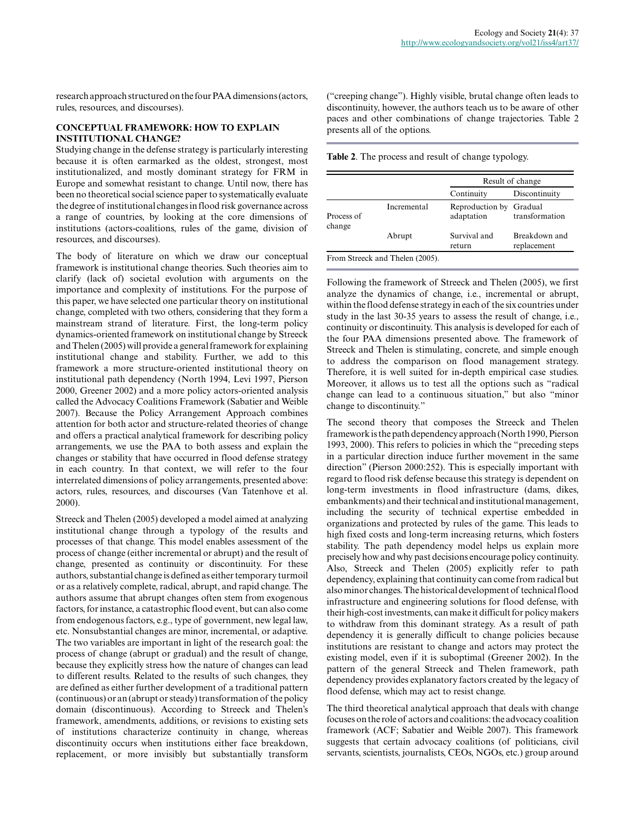research approach structured on the four PAA dimensions (actors, rules, resources, and discourses).

## **CONCEPTUAL FRAMEWORK: HOW TO EXPLAIN INSTITUTIONAL CHANGE?**

Studying change in the defense strategy is particularly interesting because it is often earmarked as the oldest, strongest, most institutionalized, and mostly dominant strategy for FRM in Europe and somewhat resistant to change. Until now, there has been no theoretical social science paper to systematically evaluate the degree of institutional changes in flood risk governance across a range of countries, by looking at the core dimensions of institutions (actors-coalitions, rules of the game, division of resources, and discourses).

The body of literature on which we draw our conceptual framework is institutional change theories. Such theories aim to clarify (lack of) societal evolution with arguments on the importance and complexity of institutions. For the purpose of this paper, we have selected one particular theory on institutional change, completed with two others, considering that they form a mainstream strand of literature. First, the long-term policy dynamics-oriented framework on institutional change by Streeck and Thelen (2005) will provide a general framework for explaining institutional change and stability. Further, we add to this framework a more structure-oriented institutional theory on institutional path dependency (North 1994, Levi 1997, Pierson 2000, Greener 2002) and a more policy actors-oriented analysis called the Advocacy Coalitions Framework (Sabatier and Weible 2007). Because the Policy Arrangement Approach combines attention for both actor and structure-related theories of change and offers a practical analytical framework for describing policy arrangements, we use the PAA to both assess and explain the changes or stability that have occurred in flood defense strategy in each country. In that context, we will refer to the four interrelated dimensions of policy arrangements, presented above: actors, rules, resources, and discourses (Van Tatenhove et al. 2000).

Streeck and Thelen (2005) developed a model aimed at analyzing institutional change through a typology of the results and processes of that change. This model enables assessment of the process of change (either incremental or abrupt) and the result of change, presented as continuity or discontinuity. For these authors, substantial change is defined as either temporary turmoil or as a relatively complete, radical, abrupt, and rapid change. The authors assume that abrupt changes often stem from exogenous factors, for instance, a catastrophic flood event, but can also come from endogenous factors, e.g., type of government, new legal law, etc. Nonsubstantial changes are minor, incremental, or adaptive. The two variables are important in light of the research goal: the process of change (abrupt or gradual) and the result of change, because they explicitly stress how the nature of changes can lead to different results. Related to the results of such changes, they are defined as either further development of a traditional pattern (continuous) or an (abrupt or steady) transformation of the policy domain (discontinuous). According to Streeck and Thelen's framework, amendments, additions, or revisions to existing sets of institutions characterize continuity in change, whereas discontinuity occurs when institutions either face breakdown, replacement, or more invisibly but substantially transform

("creeping change"). Highly visible, brutal change often leads to discontinuity, however, the authors teach us to be aware of other paces and other combinations of change trajectories. Table 2 presents all of the options.

**Table 2**. The process and result of change typology.

|                      |             | Result of change              |                              |  |
|----------------------|-------------|-------------------------------|------------------------------|--|
|                      |             | Continuity                    | Discontinuity                |  |
| Process of<br>change | Incremental | Reproduction by<br>adaptation | Gradual<br>transformation    |  |
|                      | Abrupt      | Survival and<br>return        | Breakdown and<br>replacement |  |

Following the framework of Streeck and Thelen (2005), we first analyze the dynamics of change, i.e., incremental or abrupt, within the flood defense strategy in each of the six countries under study in the last 30-35 years to assess the result of change, i.e., continuity or discontinuity. This analysis is developed for each of the four PAA dimensions presented above. The framework of Streeck and Thelen is stimulating, concrete, and simple enough to address the comparison on flood management strategy. Therefore, it is well suited for in-depth empirical case studies. Moreover, it allows us to test all the options such as "radical change can lead to a continuous situation," but also "minor change to discontinuity."

The second theory that composes the Streeck and Thelen framework is the path dependency approach (North 1990, Pierson 1993, 2000). This refers to policies in which the "preceding steps in a particular direction induce further movement in the same direction" (Pierson 2000:252). This is especially important with regard to flood risk defense because this strategy is dependent on long-term investments in flood infrastructure (dams, dikes, embankments) and their technical and institutional management, including the security of technical expertise embedded in organizations and protected by rules of the game. This leads to high fixed costs and long-term increasing returns, which fosters stability. The path dependency model helps us explain more precisely how and why past decisions encourage policy continuity. Also, Streeck and Thelen (2005) explicitly refer to path dependency, explaining that continuity can come from radical but also minor changes. The historical development of technical flood infrastructure and engineering solutions for flood defense, with their high-cost investments, can make it difficult for policy makers to withdraw from this dominant strategy. As a result of path dependency it is generally difficult to change policies because institutions are resistant to change and actors may protect the existing model, even if it is suboptimal (Greener 2002). In the pattern of the general Streeck and Thelen framework, path dependency provides explanatory factors created by the legacy of flood defense, which may act to resist change.

The third theoretical analytical approach that deals with change focuses on the role of actors and coalitions: the advocacy coalition framework (ACF; Sabatier and Weible 2007). This framework suggests that certain advocacy coalitions (of politicians, civil servants, scientists, journalists, CEOs, NGOs, etc.) group around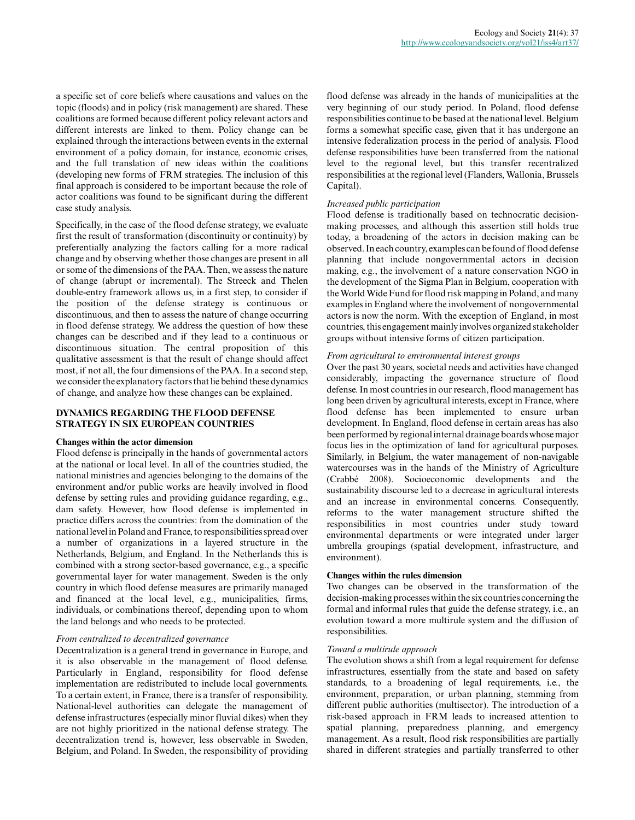a specific set of core beliefs where causations and values on the topic (floods) and in policy (risk management) are shared. These coalitions are formed because different policy relevant actors and different interests are linked to them. Policy change can be explained through the interactions between events in the external environment of a policy domain, for instance, economic crises, and the full translation of new ideas within the coalitions (developing new forms of FRM strategies. The inclusion of this final approach is considered to be important because the role of actor coalitions was found to be significant during the different case study analysis.

Specifically, in the case of the flood defense strategy, we evaluate first the result of transformation (discontinuity or continuity) by preferentially analyzing the factors calling for a more radical change and by observing whether those changes are present in all or some of the dimensions of the PAA. Then, we assess the nature of change (abrupt or incremental). The Streeck and Thelen double-entry framework allows us, in a first step, to consider if the position of the defense strategy is continuous or discontinuous, and then to assess the nature of change occurring in flood defense strategy. We address the question of how these changes can be described and if they lead to a continuous or discontinuous situation. The central proposition of this qualitative assessment is that the result of change should affect most, if not all, the four dimensions of the PAA. In a second step, we consider the explanatory factors that lie behind these dynamics of change, and analyze how these changes can be explained.

### **DYNAMICS REGARDING THE FLOOD DEFENSE STRATEGY IN SIX EUROPEAN COUNTRIES**

#### **Changes within the actor dimension**

Flood defense is principally in the hands of governmental actors at the national or local level. In all of the countries studied, the national ministries and agencies belonging to the domains of the environment and/or public works are heavily involved in flood defense by setting rules and providing guidance regarding, e.g., dam safety. However, how flood defense is implemented in practice differs across the countries: from the domination of the national level in Poland and France, to responsibilities spread over a number of organizations in a layered structure in the Netherlands, Belgium, and England. In the Netherlands this is combined with a strong sector-based governance, e.g., a specific governmental layer for water management. Sweden is the only country in which flood defense measures are primarily managed and financed at the local level, e.g., municipalities, firms, individuals, or combinations thereof, depending upon to whom the land belongs and who needs to be protected.

#### *From centralized to decentralized governance*

Decentralization is a general trend in governance in Europe, and it is also observable in the management of flood defense. Particularly in England, responsibility for flood defense implementation are redistributed to include local governments. To a certain extent, in France, there is a transfer of responsibility. National-level authorities can delegate the management of defense infrastructures (especially minor fluvial dikes) when they are not highly prioritized in the national defense strategy. The decentralization trend is, however, less observable in Sweden, Belgium, and Poland. In Sweden, the responsibility of providing flood defense was already in the hands of municipalities at the very beginning of our study period. In Poland, flood defense responsibilities continue to be based at the national level. Belgium forms a somewhat specific case, given that it has undergone an intensive federalization process in the period of analysis. Flood defense responsibilities have been transferred from the national level to the regional level, but this transfer recentralized responsibilities at the regional level (Flanders, Wallonia, Brussels Capital).

## *Increased public participation*

Flood defense is traditionally based on technocratic decisionmaking processes, and although this assertion still holds true today, a broadening of the actors in decision making can be observed. In each country, examples can be found of flood defense planning that include nongovernmental actors in decision making, e.g., the involvement of a nature conservation NGO in the development of the Sigma Plan in Belgium, cooperation with the World Wide Fund for flood risk mapping in Poland, and many examples in England where the involvement of nongovernmental actors is now the norm. With the exception of England, in most countries, this engagement mainly involves organized stakeholder groups without intensive forms of citizen participation.

# *From agricultural to environmental interest groups*

Over the past 30 years, societal needs and activities have changed considerably, impacting the governance structure of flood defense. In most countries in our research, flood management has long been driven by agricultural interests, except in France, where flood defense has been implemented to ensure urban development. In England, flood defense in certain areas has also been performed by regional internal drainage boards whose major focus lies in the optimization of land for agricultural purposes. Similarly, in Belgium, the water management of non-navigable watercourses was in the hands of the Ministry of Agriculture (Crabbé 2008). Socioeconomic developments and the sustainability discourse led to a decrease in agricultural interests and an increase in environmental concerns. Consequently, reforms to the water management structure shifted the responsibilities in most countries under study toward environmental departments or were integrated under larger umbrella groupings (spatial development, infrastructure, and environment).

## **Changes within the rules dimension**

Two changes can be observed in the transformation of the decision-making processes within the six countries concerning the formal and informal rules that guide the defense strategy, i.e., an evolution toward a more multirule system and the diffusion of responsibilities.

#### *Toward a multirule approach*

The evolution shows a shift from a legal requirement for defense infrastructures, essentially from the state and based on safety standards, to a broadening of legal requirements, i.e., the environment, preparation, or urban planning, stemming from different public authorities (multisector). The introduction of a risk-based approach in FRM leads to increased attention to spatial planning, preparedness planning, and emergency management. As a result, flood risk responsibilities are partially shared in different strategies and partially transferred to other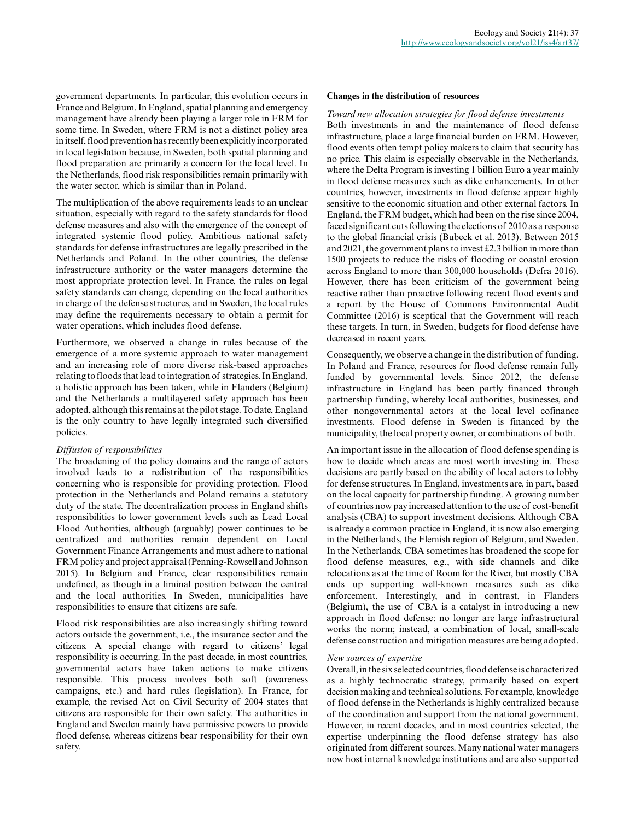government departments. In particular, this evolution occurs in France and Belgium. In England, spatial planning and emergency management have already been playing a larger role in FRM for some time. In Sweden, where FRM is not a distinct policy area in itself, flood prevention has recently been explicitly incorporated in local legislation because, in Sweden, both spatial planning and flood preparation are primarily a concern for the local level. In the Netherlands, flood risk responsibilities remain primarily with the water sector, which is similar than in Poland.

The multiplication of the above requirements leads to an unclear situation, especially with regard to the safety standards for flood defense measures and also with the emergence of the concept of integrated systemic flood policy. Ambitious national safety standards for defense infrastructures are legally prescribed in the Netherlands and Poland. In the other countries, the defense infrastructure authority or the water managers determine the most appropriate protection level. In France, the rules on legal safety standards can change, depending on the local authorities in charge of the defense structures, and in Sweden, the local rules may define the requirements necessary to obtain a permit for water operations, which includes flood defense.

Furthermore, we observed a change in rules because of the emergence of a more systemic approach to water management and an increasing role of more diverse risk-based approaches relating to floods that lead to integration of strategies. In England, a holistic approach has been taken, while in Flanders (Belgium) and the Netherlands a multilayered safety approach has been adopted, although this remains at the pilot stage. To date, England is the only country to have legally integrated such diversified policies.

#### *Diffusion of responsibilities*

The broadening of the policy domains and the range of actors involved leads to a redistribution of the responsibilities concerning who is responsible for providing protection. Flood protection in the Netherlands and Poland remains a statutory duty of the state. The decentralization process in England shifts responsibilities to lower government levels such as Lead Local Flood Authorities, although (arguably) power continues to be centralized and authorities remain dependent on Local Government Finance Arrangements and must adhere to national FRM policy and project appraisal (Penning-Rowsell and Johnson 2015). In Belgium and France, clear responsibilities remain undefined, as though in a liminal position between the central and the local authorities. In Sweden, municipalities have responsibilities to ensure that citizens are safe.

Flood risk responsibilities are also increasingly shifting toward actors outside the government, i.e., the insurance sector and the citizens. A special change with regard to citizens' legal responsibility is occurring. In the past decade, in most countries, governmental actors have taken actions to make citizens responsible. This process involves both soft (awareness campaigns, etc.) and hard rules (legislation). In France, for example, the revised Act on Civil Security of 2004 states that citizens are responsible for their own safety. The authorities in England and Sweden mainly have permissive powers to provide flood defense, whereas citizens bear responsibility for their own safety.

#### **Changes in the distribution of resources**

*Toward new allocation strategies for flood defense investments* Both investments in and the maintenance of flood defense infrastructure, place a large financial burden on FRM. However, flood events often tempt policy makers to claim that security has no price. This claim is especially observable in the Netherlands, where the Delta Program is investing 1 billion Euro a year mainly in flood defense measures such as dike enhancements. In other countries, however, investments in flood defense appear highly sensitive to the economic situation and other external factors. In England, the FRM budget, which had been on the rise since 2004, faced significant cuts following the elections of 2010 as a response to the global financial crisis (Bubeck et al. 2013). Between 2015 and 2021, the government plans to invest £2.3 billion in more than 1500 projects to reduce the risks of flooding or coastal erosion across England to more than 300,000 households (Defra 2016). However, there has been criticism of the government being reactive rather than proactive following recent flood events and a report by the House of Commons Environmental Audit Committee (2016) is sceptical that the Government will reach these targets. In turn, in Sweden, budgets for flood defense have decreased in recent years.

Consequently, we observe a change in the distribution of funding. In Poland and France, resources for flood defense remain fully funded by governmental levels. Since 2012, the defense infrastructure in England has been partly financed through partnership funding, whereby local authorities, businesses, and other nongovernmental actors at the local level cofinance investments. Flood defense in Sweden is financed by the municipality, the local property owner, or combinations of both.

An important issue in the allocation of flood defense spending is how to decide which areas are most worth investing in. These decisions are partly based on the ability of local actors to lobby for defense structures. In England, investments are, in part, based on the local capacity for partnership funding. A growing number of countries now pay increased attention to the use of cost-benefit analysis (CBA) to support investment decisions. Although CBA is already a common practice in England, it is now also emerging in the Netherlands, the Flemish region of Belgium, and Sweden. In the Netherlands, CBA sometimes has broadened the scope for flood defense measures, e.g., with side channels and dike relocations as at the time of Room for the River, but mostly CBA ends up supporting well-known measures such as dike enforcement. Interestingly, and in contrast, in Flanders (Belgium), the use of CBA is a catalyst in introducing a new approach in flood defense: no longer are large infrastructural works the norm; instead, a combination of local, small-scale defense construction and mitigation measures are being adopted.

#### *New sources of expertise*

Overall, in the six selected countries, flood defense is characterized as a highly technocratic strategy, primarily based on expert decision making and technical solutions. For example, knowledge of flood defense in the Netherlands is highly centralized because of the coordination and support from the national government. However, in recent decades, and in most countries selected, the expertise underpinning the flood defense strategy has also originated from different sources. Many national water managers now host internal knowledge institutions and are also supported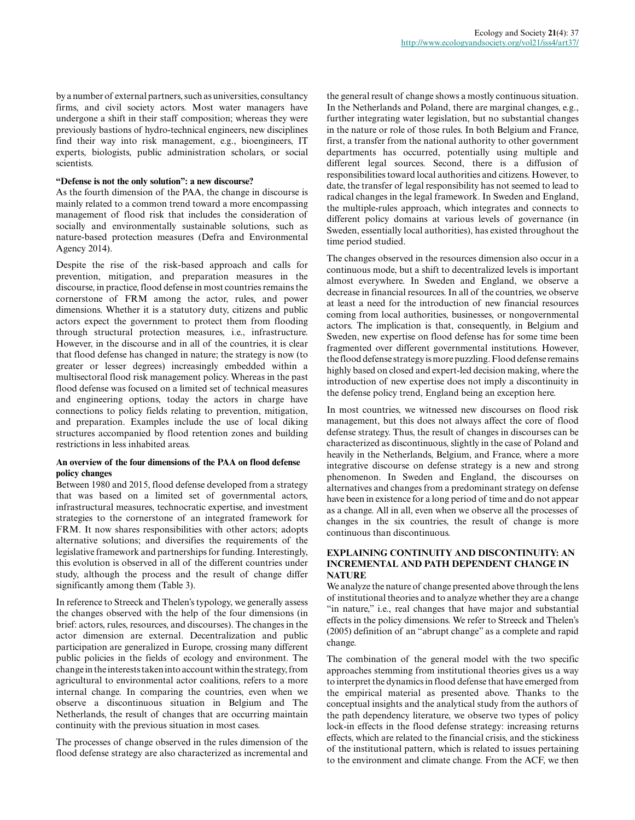by a number of external partners, such as universities, consultancy firms, and civil society actors. Most water managers have undergone a shift in their staff composition; whereas they were previously bastions of hydro-technical engineers, new disciplines find their way into risk management, e.g., bioengineers, IT experts, biologists, public administration scholars, or social scientists.

## **"Defense is not the only solution": a new discourse?**

As the fourth dimension of the PAA, the change in discourse is mainly related to a common trend toward a more encompassing management of flood risk that includes the consideration of socially and environmentally sustainable solutions, such as nature-based protection measures (Defra and Environmental Agency 2014).

Despite the rise of the risk-based approach and calls for prevention, mitigation, and preparation measures in the discourse, in practice, flood defense in most countries remains the cornerstone of FRM among the actor, rules, and power dimensions. Whether it is a statutory duty, citizens and public actors expect the government to protect them from flooding through structural protection measures, i.e., infrastructure. However, in the discourse and in all of the countries, it is clear that flood defense has changed in nature; the strategy is now (to greater or lesser degrees) increasingly embedded within a multisectoral flood risk management policy. Whereas in the past flood defense was focused on a limited set of technical measures and engineering options, today the actors in charge have connections to policy fields relating to prevention, mitigation, and preparation. Examples include the use of local diking structures accompanied by flood retention zones and building restrictions in less inhabited areas.

#### **An overview of the four dimensions of the PAA on flood defense policy changes**

Between 1980 and 2015, flood defense developed from a strategy that was based on a limited set of governmental actors, infrastructural measures, technocratic expertise, and investment strategies to the cornerstone of an integrated framework for FRM. It now shares responsibilities with other actors; adopts alternative solutions; and diversifies the requirements of the legislative framework and partnerships for funding. Interestingly, this evolution is observed in all of the different countries under study, although the process and the result of change differ significantly among them (Table 3).

In reference to Streeck and Thelen's typology, we generally assess the changes observed with the help of the four dimensions (in brief: actors, rules, resources, and discourses). The changes in the actor dimension are external. Decentralization and public participation are generalized in Europe, crossing many different public policies in the fields of ecology and environment. The change in the interests taken into account within the strategy, from agricultural to environmental actor coalitions, refers to a more internal change. In comparing the countries, even when we observe a discontinuous situation in Belgium and The Netherlands, the result of changes that are occurring maintain continuity with the previous situation in most cases.

The processes of change observed in the rules dimension of the flood defense strategy are also characterized as incremental and the general result of change shows a mostly continuous situation. In the Netherlands and Poland, there are marginal changes, e.g., further integrating water legislation, but no substantial changes in the nature or role of those rules. In both Belgium and France, first, a transfer from the national authority to other government departments has occurred, potentially using multiple and different legal sources. Second, there is a diffusion of responsibilities toward local authorities and citizens. However, to date, the transfer of legal responsibility has not seemed to lead to radical changes in the legal framework. In Sweden and England, the multiple-rules approach, which integrates and connects to different policy domains at various levels of governance (in Sweden, essentially local authorities), has existed throughout the time period studied.

The changes observed in the resources dimension also occur in a continuous mode, but a shift to decentralized levels is important almost everywhere. In Sweden and England, we observe a decrease in financial resources. In all of the countries, we observe at least a need for the introduction of new financial resources coming from local authorities, businesses, or nongovernmental actors. The implication is that, consequently, in Belgium and Sweden, new expertise on flood defense has for some time been fragmented over different governmental institutions. However, the flood defense strategy is more puzzling. Flood defense remains highly based on closed and expert-led decision making, where the introduction of new expertise does not imply a discontinuity in the defense policy trend, England being an exception here.

In most countries, we witnessed new discourses on flood risk management, but this does not always affect the core of flood defense strategy. Thus, the result of changes in discourses can be characterized as discontinuous, slightly in the case of Poland and heavily in the Netherlands, Belgium, and France, where a more integrative discourse on defense strategy is a new and strong phenomenon. In Sweden and England, the discourses on alternatives and changes from a predominant strategy on defense have been in existence for a long period of time and do not appear as a change. All in all, even when we observe all the processes of changes in the six countries, the result of change is more continuous than discontinuous.

# **EXPLAINING CONTINUITY AND DISCONTINUITY: AN INCREMENTAL AND PATH DEPENDENT CHANGE IN NATURE**

We analyze the nature of change presented above through the lens of institutional theories and to analyze whether they are a change "in nature," i.e., real changes that have major and substantial effects in the policy dimensions. We refer to Streeck and Thelen's (2005) definition of an "abrupt change" as a complete and rapid change.

The combination of the general model with the two specific approaches stemming from institutional theories gives us a way to interpret the dynamics in flood defense that have emerged from the empirical material as presented above. Thanks to the conceptual insights and the analytical study from the authors of the path dependency literature, we observe two types of policy lock-in effects in the flood defense strategy: increasing returns effects, which are related to the financial crisis, and the stickiness of the institutional pattern, which is related to issues pertaining to the environment and climate change. From the ACF, we then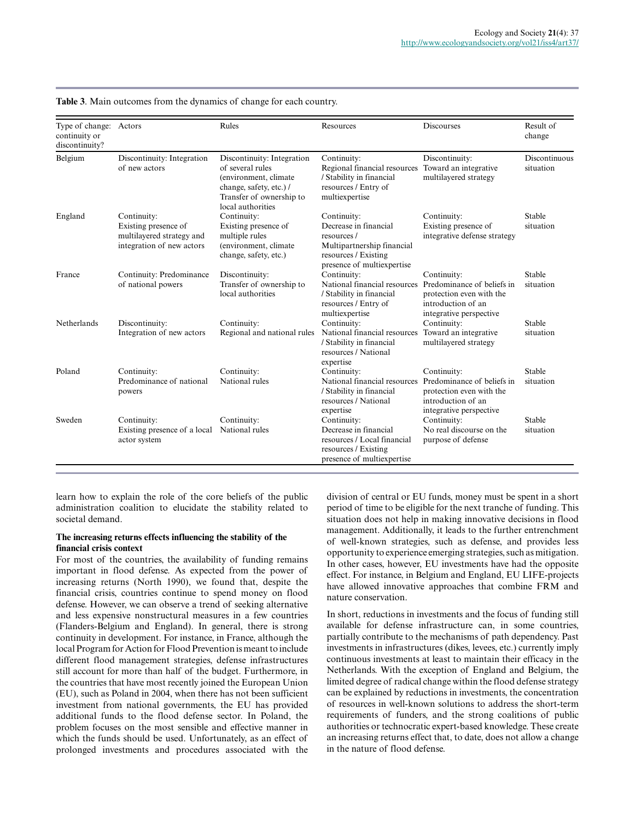| Type of change:<br>continuity or<br>discontinuity? | Actors                                                                                        | Rules                                                                                                                                                | Resources                                                                                                                              | Discourses                                                                                                             | Result of<br>change               |
|----------------------------------------------------|-----------------------------------------------------------------------------------------------|------------------------------------------------------------------------------------------------------------------------------------------------------|----------------------------------------------------------------------------------------------------------------------------------------|------------------------------------------------------------------------------------------------------------------------|-----------------------------------|
| Belgium                                            | Discontinuity: Integration<br>of new actors                                                   | Discontinuity: Integration<br>of several rules<br>(environment, climate)<br>change, safety, etc.) /<br>Transfer of ownership to<br>local authorities | Continuity:<br>Regional financial resources<br>/ Stability in financial<br>resources / Entry of<br>multiexpertise                      | Discontinuity:<br>Toward an integrative<br>multilayered strategy                                                       | <b>Discontinuous</b><br>situation |
| England                                            | Continuity:<br>Existing presence of<br>multilayered strategy and<br>integration of new actors | Continuity:<br>Existing presence of<br>multiple rules<br>(environment, climate)<br>change, safety, etc.)                                             | Continuity:<br>Decrease in financial<br>resources/<br>Multipartnership financial<br>resources / Existing<br>presence of multiexpertise | Continuity:<br>Existing presence of<br>integrative defense strategy                                                    | <b>Stable</b><br>situation        |
| France                                             | Continuity: Predominance<br>of national powers                                                | Discontinuity:<br>Transfer of ownership to<br>local authorities                                                                                      | Continuity:<br>National financial resources<br>/ Stability in financial<br>resources / Entry of<br>multiexpertise                      | Continuity:<br>Predominance of beliefs in<br>protection even with the<br>introduction of an<br>integrative perspective | <b>Stable</b><br>situation        |
| <b>Netherlands</b>                                 | Discontinuity:<br>Integration of new actors                                                   | Continuity:<br>Regional and national rules                                                                                                           | Continuity:<br>National financial resources<br>/ Stability in financial<br>resources / National<br>expertise                           | Continuity:<br>Toward an integrative<br>multilayered strategy                                                          | <b>Stable</b><br>situation        |
| Poland                                             | Continuity:<br>Predominance of national<br>powers                                             | Continuity:<br>National rules                                                                                                                        | Continuity:<br>National financial resources<br>/ Stability in financial<br>resources / National<br>expertise                           | Continuity:<br>Predominance of beliefs in<br>protection even with the<br>introduction of an<br>integrative perspective | <b>Stable</b><br>situation        |
| Sweden                                             | Continuity:<br>Existing presence of a local<br>actor system                                   | Continuity:<br>National rules                                                                                                                        | Continuity:<br>Decrease in financial<br>resources / Local financial<br>resources / Existing<br>presence of multiexpertise              | Continuity:<br>No real discourse on the<br>purpose of defense                                                          | Stable<br>situation               |

**Table 3**. Main outcomes from the dynamics of change for each country.

learn how to explain the role of the core beliefs of the public administration coalition to elucidate the stability related to societal demand.

#### **The increasing returns effects influencing the stability of the financial crisis context**

For most of the countries, the availability of funding remains important in flood defense. As expected from the power of increasing returns (North 1990), we found that, despite the financial crisis, countries continue to spend money on flood defense. However, we can observe a trend of seeking alternative and less expensive nonstructural measures in a few countries (Flanders-Belgium and England). In general, there is strong continuity in development. For instance, in France, although the local Program for Action for Flood Prevention is meant to include different flood management strategies, defense infrastructures still account for more than half of the budget. Furthermore, in the countries that have most recently joined the European Union (EU), such as Poland in 2004, when there has not been sufficient investment from national governments, the EU has provided additional funds to the flood defense sector. In Poland, the problem focuses on the most sensible and effective manner in which the funds should be used. Unfortunately, as an effect of prolonged investments and procedures associated with the

division of central or EU funds, money must be spent in a short period of time to be eligible for the next tranche of funding. This situation does not help in making innovative decisions in flood management. Additionally, it leads to the further entrenchment of well-known strategies, such as defense, and provides less opportunity to experience emerging strategies, such as mitigation. In other cases, however, EU investments have had the opposite effect. For instance, in Belgium and England, EU LIFE-projects have allowed innovative approaches that combine FRM and nature conservation.

In short, reductions in investments and the focus of funding still available for defense infrastructure can, in some countries, partially contribute to the mechanisms of path dependency. Past investments in infrastructures (dikes, levees, etc.) currently imply continuous investments at least to maintain their efficacy in the Netherlands. With the exception of England and Belgium, the limited degree of radical change within the flood defense strategy can be explained by reductions in investments, the concentration of resources in well-known solutions to address the short-term requirements of funders, and the strong coalitions of public authorities or technocratic expert-based knowledge. These create an increasing returns effect that, to date, does not allow a change in the nature of flood defense.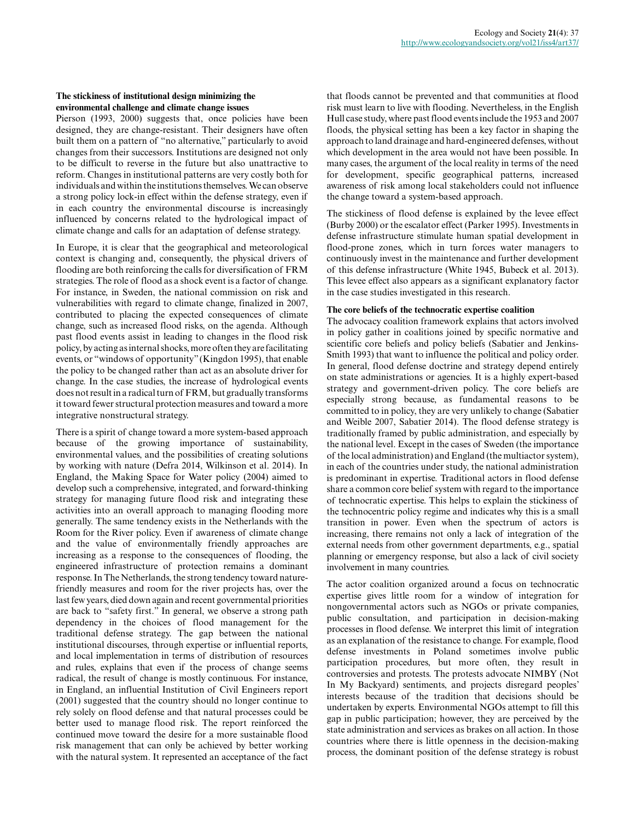#### **The stickiness of institutional design minimizing the environmental challenge and climate change issues**

Pierson (1993, 2000) suggests that, once policies have been designed, they are change-resistant. Their designers have often built them on a pattern of "no alternative," particularly to avoid changes from their successors. Institutions are designed not only to be difficult to reverse in the future but also unattractive to reform. Changes in institutional patterns are very costly both for individuals and within the institutions themselves. We can observe a strong policy lock-in effect within the defense strategy, even if in each country the environmental discourse is increasingly influenced by concerns related to the hydrological impact of climate change and calls for an adaptation of defense strategy.

In Europe, it is clear that the geographical and meteorological context is changing and, consequently, the physical drivers of flooding are both reinforcing the calls for diversification of FRM strategies. The role of flood as a shock event is a factor of change. For instance, in Sweden, the national commission on risk and vulnerabilities with regard to climate change, finalized in 2007, contributed to placing the expected consequences of climate change, such as increased flood risks, on the agenda. Although past flood events assist in leading to changes in the flood risk policy, by acting as internal shocks, more often they are facilitating events, or "windows of opportunity" (Kingdon 1995), that enable the policy to be changed rather than act as an absolute driver for change. In the case studies, the increase of hydrological events does not result in a radical turn of FRM, but gradually transforms it toward fewer structural protection measures and toward a more integrative nonstructural strategy.

There is a spirit of change toward a more system-based approach because of the growing importance of sustainability, environmental values, and the possibilities of creating solutions by working with nature (Defra 2014, Wilkinson et al. 2014). In England, the Making Space for Water policy (2004) aimed to develop such a comprehensive, integrated, and forward-thinking strategy for managing future flood risk and integrating these activities into an overall approach to managing flooding more generally. The same tendency exists in the Netherlands with the Room for the River policy. Even if awareness of climate change and the value of environmentally friendly approaches are increasing as a response to the consequences of flooding, the engineered infrastructure of protection remains a dominant response. In The Netherlands, the strong tendency toward naturefriendly measures and room for the river projects has, over the last few years, died down again and recent governmental priorities are back to "safety first." In general, we observe a strong path dependency in the choices of flood management for the traditional defense strategy. The gap between the national institutional discourses, through expertise or influential reports, and local implementation in terms of distribution of resources and rules, explains that even if the process of change seems radical, the result of change is mostly continuous. For instance, in England, an influential Institution of Civil Engineers report (2001) suggested that the country should no longer continue to rely solely on flood defense and that natural processes could be better used to manage flood risk. The report reinforced the continued move toward the desire for a more sustainable flood risk management that can only be achieved by better working with the natural system. It represented an acceptance of the fact

that floods cannot be prevented and that communities at flood risk must learn to live with flooding. Nevertheless, in the English Hull case study, where past flood events include the 1953 and 2007 floods, the physical setting has been a key factor in shaping the approach to land drainage and hard-engineered defenses, without which development in the area would not have been possible. In many cases, the argument of the local reality in terms of the need for development, specific geographical patterns, increased awareness of risk among local stakeholders could not influence the change toward a system-based approach.

The stickiness of flood defense is explained by the levee effect (Burby 2000) or the escalator effect (Parker 1995). Investments in defense infrastructure stimulate human spatial development in flood-prone zones, which in turn forces water managers to continuously invest in the maintenance and further development of this defense infrastructure (White 1945, Bubeck et al. 2013). This levee effect also appears as a significant explanatory factor in the case studies investigated in this research.

## **The core beliefs of the technocratic expertise coalition**

The advocacy coalition framework explains that actors involved in policy gather in coalitions joined by specific normative and scientific core beliefs and policy beliefs (Sabatier and Jenkins-Smith 1993) that want to influence the political and policy order. In general, flood defense doctrine and strategy depend entirely on state administrations or agencies. It is a highly expert-based strategy and government-driven policy. The core beliefs are especially strong because, as fundamental reasons to be committed to in policy, they are very unlikely to change (Sabatier and Weible 2007, Sabatier 2014). The flood defense strategy is traditionally framed by public administration, and especially by the national level. Except in the cases of Sweden (the importance of the local administration) and England (the multiactor system), in each of the countries under study, the national administration is predominant in expertise. Traditional actors in flood defense share a common core belief system with regard to the importance of technocratic expertise. This helps to explain the stickiness of the technocentric policy regime and indicates why this is a small transition in power. Even when the spectrum of actors is increasing, there remains not only a lack of integration of the external needs from other government departments, e.g., spatial planning or emergency response, but also a lack of civil society involvement in many countries.

The actor coalition organized around a focus on technocratic expertise gives little room for a window of integration for nongovernmental actors such as NGOs or private companies, public consultation, and participation in decision-making processes in flood defense. We interpret this limit of integration as an explanation of the resistance to change. For example, flood defense investments in Poland sometimes involve public participation procedures, but more often, they result in controversies and protests. The protests advocate NIMBY (Not In My Backyard) sentiments, and projects disregard peoples' interests because of the tradition that decisions should be undertaken by experts. Environmental NGOs attempt to fill this gap in public participation; however, they are perceived by the state administration and services as brakes on all action. In those countries where there is little openness in the decision-making process, the dominant position of the defense strategy is robust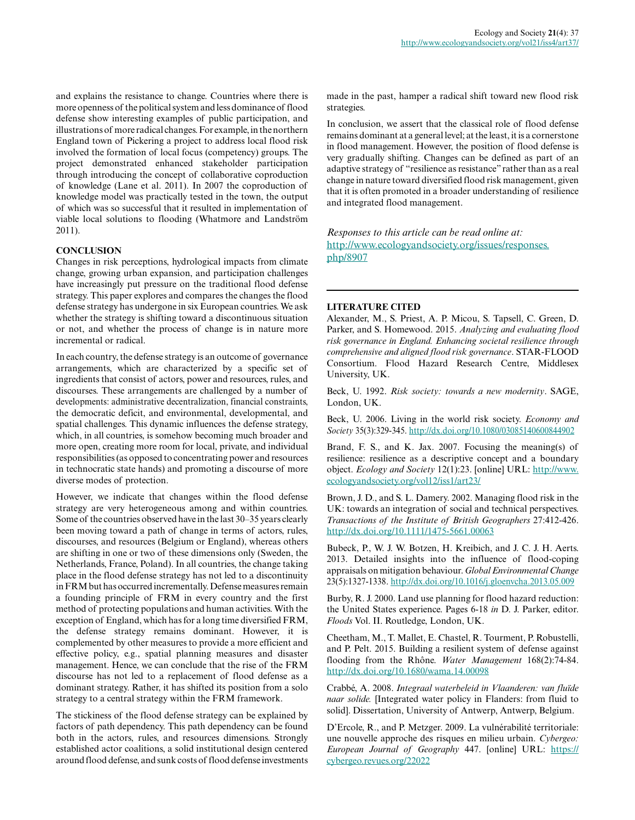and explains the resistance to change. Countries where there is more openness of the political system and less dominance of flood defense show interesting examples of public participation, and illustrations of more radical changes. For example, in the northern England town of Pickering a project to address local flood risk involved the formation of local focus (competency) groups. The project demonstrated enhanced stakeholder participation through introducing the concept of collaborative coproduction of knowledge (Lane et al. 2011). In 2007 the coproduction of knowledge model was practically tested in the town, the output of which was so successful that it resulted in implementation of viable local solutions to flooding (Whatmore and Landström 2011).

## **CONCLUSION**

Changes in risk perceptions, hydrological impacts from climate change, growing urban expansion, and participation challenges have increasingly put pressure on the traditional flood defense strategy. This paper explores and compares the changes the flood defense strategy has undergone in six European countries. We ask whether the strategy is shifting toward a discontinuous situation or not, and whether the process of change is in nature more incremental or radical.

In each country, the defense strategy is an outcome of governance arrangements, which are characterized by a specific set of ingredients that consist of actors, power and resources, rules, and discourses. These arrangements are challenged by a number of developments: administrative decentralization, financial constraints, the democratic deficit, and environmental, developmental, and spatial challenges. This dynamic influences the defense strategy, which, in all countries, is somehow becoming much broader and more open, creating more room for local, private, and individual responsibilities (as opposed to concentrating power and resources in technocratic state hands) and promoting a discourse of more diverse modes of protection.

However, we indicate that changes within the flood defense strategy are very heterogeneous among and within countries. Some of the countries observed have in the last 30–35 years clearly been moving toward a path of change in terms of actors, rules, discourses, and resources (Belgium or England), whereas others are shifting in one or two of these dimensions only (Sweden, the Netherlands, France, Poland). In all countries, the change taking place in the flood defense strategy has not led to a discontinuity in FRM but has occurred incrementally. Defense measures remain a founding principle of FRM in every country and the first method of protecting populations and human activities. With the exception of England, which has for a long time diversified FRM, the defense strategy remains dominant. However, it is complemented by other measures to provide a more efficient and effective policy, e.g., spatial planning measures and disaster management. Hence, we can conclude that the rise of the FRM discourse has not led to a replacement of flood defense as a dominant strategy. Rather, it has shifted its position from a solo strategy to a central strategy within the FRM framework.

The stickiness of the flood defense strategy can be explained by factors of path dependency. This path dependency can be found both in the actors, rules, and resources dimensions. Strongly established actor coalitions, a solid institutional design centered around flood defense, and sunk costs of flood defense investments

made in the past, hamper a radical shift toward new flood risk strategies.

In conclusion, we assert that the classical role of flood defense remains dominant at a general level; at the least, it is a cornerstone in flood management. However, the position of flood defense is very gradually shifting. Changes can be defined as part of an adaptive strategy of "resilience as resistance" rather than as a real change in nature toward diversified flood risk management, given that it is often promoted in a broader understanding of resilience and integrated flood management.

*Responses to this article can be read online at:* [http://www.ecologyandsociety.org/issues/responses.](http://www.ecologyandsociety.org/issues/responses.php/8907) [php/8907](http://www.ecologyandsociety.org/issues/responses.php/8907)

#### **LITERATURE CITED**

Alexander, M., S. Priest, A. P. Micou, S. Tapsell, C. Green, D. Parker, and S. Homewood. 2015. *Analyzing and evaluating flood risk governance in England. Enhancing societal resilience through comprehensive and aligned flood risk governance*. STAR-FLOOD Consortium. Flood Hazard Research Centre, Middlesex University, UK.

Beck, U. 1992. *Risk society: towards a new modernity*. SAGE, London, UK.

Beck, U. 2006. Living in the world risk society. *Economy and Society* 35(3):329-345. [http://dx.doi.org/10.1080/03085140600844902](http://dx.doi.org/10.1080%2F03085140600844902) 

Brand, F. S., and K. Jax. 2007. Focusing the meaning(s) of resilience: resilience as a descriptive concept and a boundary object. *Ecology and Society* 12(1):23. [online] URL: [http://www.](http://www.ecologyandsociety.org/vol12/iss1/art23/) [ecologyandsociety.org/vol12/iss1/art23/](http://www.ecologyandsociety.org/vol12/iss1/art23/)

Brown, J. D., and S. L. Damery. 2002. Managing flood risk in the UK: towards an integration of social and technical perspectives. *Transactions of the Institute of British Geographers* 27:412-426. [http://dx.doi.org/10.1111/1475-5661.00063](http://dx.doi.org/10.1111%2F1475-5661.00063)

Bubeck, P., W. J. W. Botzen, H. Kreibich, and J. C. J. H. Aerts. 2013. Detailed insights into the influence of flood-coping appraisals on mitigation behaviour. *Global Environmental Change* 23(5):1327-1338. [http://dx.doi.org/10.1016/j.gloenvcha.2013.05.009](http://dx.doi.org/10.1016%2Fj.gloenvcha.2013.05.009) 

Burby, R. J. 2000. Land use planning for flood hazard reduction: the United States experience. Pages 6-18 *in* D. J. Parker, editor. *Floods* Vol. II. Routledge, London, UK.

Cheetham, M., T. Mallet, E. Chastel, R. Tourment, P. Robustelli, and P. Pelt. 2015. Building a resilient system of defense against flooding from the Rhône. *Water Management* 168(2):74-84. [http://dx.doi.org/10.1680/wama.14.00098](http://dx.doi.org/10.1680%2Fwama.14.00098)

Crabbé, A. 2008. *Integraal waterbeleid in Vlaanderen: van fluïde naar solide.* [Integrated water policy in Flanders: from fluid to solid]. Dissertation, University of Antwerp, Antwerp, Belgium.

D'Ercole, R., and P. Metzger. 2009. La vulnérabilité territoriale: une nouvelle approche des risques en milieu urbain. *Cybergeo: European Journal of Geography* 447. [online] URL: [https://](https://cybergeo.revues.org/22022) [cybergeo.revues.org/22022](https://cybergeo.revues.org/22022)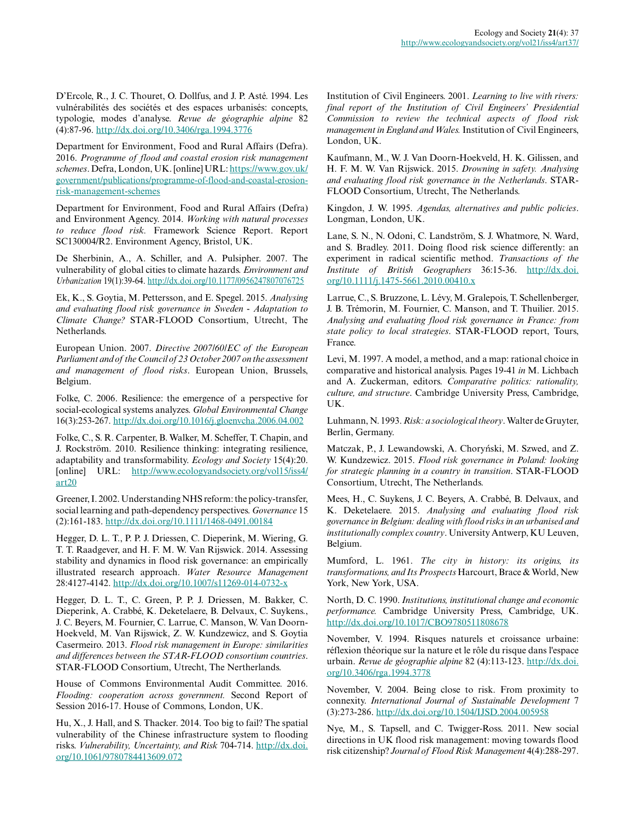D'Ercole, R., J. C. Thouret, O. Dollfus, and J. P. Asté. 1994. Les vulnérabilités des sociétés et des espaces urbanisés: concepts, typologie, modes d'analyse. *Revue de géographie alpine* 82 (4):87-96. [http://dx.doi.org/10.3406/rga.1994.3776](http://dx.doi.org/10.3406%2Frga.1994.3776)

Department for Environment, Food and Rural Affairs (Defra). 2016. *Programme of flood and coastal erosion risk management schemes*. Defra, London, UK. [online] URL: [https://www.gov.uk/](https://www.gov.uk/government/publications/programme-of-flood-and-coastal-erosion-risk-management-schemes) [government/publications/programme-of-flood-and-coastal-erosion](https://www.gov.uk/government/publications/programme-of-flood-and-coastal-erosion-risk-management-schemes)[risk-management-schemes](https://www.gov.uk/government/publications/programme-of-flood-and-coastal-erosion-risk-management-schemes)

Department for Environment, Food and Rural Affairs (Defra) and Environment Agency. 2014. *Working with natural processes to reduce flood risk.* Framework Science Report. Report SC130004/R2. Environment Agency, Bristol, UK.

De Sherbinin, A., A. Schiller, and A. Pulsipher. 2007. The vulnerability of global cities to climate hazards. *Environment and Urbanization* 19(1):39-64. [http://dx.doi.org/10.1177/0956247807076725](http://dx.doi.org/10.1177%2F0956247807076725) 

Ek, K., S. Goytia, M. Pettersson, and E. Spegel. 2015. *Analysing and evaluating flood risk governance in Sweden - Adaptation to Climate Change?* STAR-FLOOD Consortium, Utrecht, The Netherlands.

European Union. 2007. *Directive 2007/60/EC of the European Parliament and of the Council of 23 October 2007 on the assessment and management of flood risks*. European Union, Brussels, Belgium.

Folke, C. 2006. Resilience: the emergence of a perspective for social-ecological systems analyzes. *Global Environmental Change* 16(3):253-267.<http://dx.doi.org/10.1016/j.gloenvcha.2006.04.002>

Folke, C., S. R. Carpenter, B. Walker, M. Scheffer, T. Chapin, and J. Rockström. 2010. Resilience thinking: integrating resilience, adaptability and transformability. *Ecology and Society* 15(4):20. [online] URL: [http://www.ecologyandsociety.org/vol15/iss4/](http://www.ecologyandsociety.org/vol15/iss4/art20)  $art20$ 

Greener, I. 2002. Understanding NHS reform: the policy-transfer, social learning and path-dependency perspectives. *Governance* 15 (2):161-183. [http://dx.doi.org/10.1111/1468-0491.00184](http://dx.doi.org/10.1111%2F1468-0491.00184) 

Hegger, D. L. T., P. P. J. Driessen, C. Dieperink, M. Wiering, G. T. T. Raadgever, and H. F. M. W. Van Rijswick. 2014. Assessing stability and dynamics in flood risk governance: an empirically illustrated research approach. *Water Resource Management* 28:4127-4142. [http://dx.doi.org/10.1007/s11269-014-0732-x](http://dx.doi.org/10.1007%2Fs11269-014-0732-x)

Hegger, D. L. T., C. Green, P. P. J. Driessen, M. Bakker, C. Dieperink, A. Crabbé, K. Deketelaere, B. Delvaux, C. Suykens., J. C. Beyers, M. Fournier, C. Larrue, C. Manson, W. Van Doorn-Hoekveld, M. Van Rijswick, Z. W. Kundzewicz, and S. Goytia Casermeiro. 2013. *Flood risk management in Europe: similarities and differences between the STAR-FLOOD consortium countries*. STAR-FLOOD Consortium, Utrecht, The Nertherlands.

House of Commons Environmental Audit Committee. 2016. *Flooding: cooperation across government.* Second Report of Session 2016-17. House of Commons, London, UK.

Hu, X., J. Hall, and S. Thacker. 2014. Too big to fail? The spatial vulnerability of the Chinese infrastructure system to flooding risks. *Vulnerability, Uncertainty, and Risk* 704-714. [http://dx.doi.](http://dx.doi.org/10.1061%2F9780784413609.072) [org/10.1061/9780784413609.072](http://dx.doi.org/10.1061%2F9780784413609.072) 

Institution of Civil Engineers. 2001. *Learning to live with rivers: final report of the Institution of Civil Engineers' Presidential Commission to review the technical aspects of flood risk management in England and Wales.* Institution of Civil Engineers, London, UK.

Kaufmann, M., W. J. Van Doorn-Hoekveld, H. K. Gilissen, and H. F. M. W. Van Rijswick. 2015. *Drowning in safety. Analysing and evaluating flood risk governance in the Netherlands*. STAR-FLOOD Consortium, Utrecht, The Netherlands.

Kingdon, J. W. 1995. *Agendas, alternatives and public policies*. Longman, London, UK.

Lane, S. N., N. Odoni, C. Landström, S. J. Whatmore, N. Ward, and S. Bradley. 2011. Doing flood risk science differently: an experiment in radical scientific method. *Transactions of the Institute of British Geographers* 36:15-36. [http://dx.doi.](http://dx.doi.org/10.1111%2Fj.1475-5661.2010.00410.x) [org/10.1111/j.1475-5661.2010.00410.x](http://dx.doi.org/10.1111%2Fj.1475-5661.2010.00410.x)

Larrue, C., S. Bruzzone, L. Lévy, M. Gralepois, T. Schellenberger, J. B. Trémorin, M. Fournier, C. Manson, and T. Thuilier. 2015. *Analysing and evaluating flood risk governance in France: from state policy to local strategies*. STAR-FLOOD report, Tours, France.

Levi, M. 1997. A model, a method, and a map: rational choice in comparative and historical analysis. Pages 19-41 *in* M. Lichbach and A. Zuckerman, editors. *Comparative politics: rationality, culture, and structure*. Cambridge University Press, Cambridge, UK.

Luhmann, N. 1993. *Risk: a sociological theory*. Walter de Gruyter, Berlin, Germany.

Matczak, P., J. Lewandowski, A. Choryński, M. Szwed, and Z. W. Kundzewicz. 2015. *Flood risk governance in Poland: looking for strategic planning in a country in transition*. STAR-FLOOD Consortium, Utrecht, The Netherlands.

Mees, H., C. Suykens, J. C. Beyers, A. Crabbé, B. Delvaux, and K. Deketelaere. 2015. *Analysing and evaluating flood risk governance in Belgium: dealing with flood risks in an urbanised and institutionally complex country*. University Antwerp, KU Leuven, Belgium.

Mumford, L. 1961. *The city in history: its origins, its transformations, and Its Prospects* Harcourt, Brace & World, New York, New York, USA.

North, D. C. 1990. *Institutions, institutional change and economic performance.* Cambridge University Press, Cambridge, UK. [http://dx.doi.org/10.1017/CBO9780511808678](http://dx.doi.org/10.1017%2FCBO9780511808678)

November, V. 1994. Risques naturels et croissance urbaine: réflexion théorique sur la nature et le rôle du risque dans l'espace urbain. *Revue de géographie alpine* 82 (4):113-123. [http://dx.doi.](http://dx.doi.org/10.3406%2Frga.1994.3778) [org/10.3406/rga.1994.3778](http://dx.doi.org/10.3406%2Frga.1994.3778)

November, V. 2004. Being close to risk. From proximity to connexity. *International Journal of Sustainable Development* 7 (3):273-286. [http://dx.doi.org/10.1504/IJSD.2004.005958](http://dx.doi.org/10.1504%2FIJSD.2004.005958)

Nye, M., S. Tapsell, and C. Twigger-Ross. 2011. New social directions in UK flood risk management: moving towards flood risk citizenship? *Journal of Flood Risk Management* 4(4):288-297.